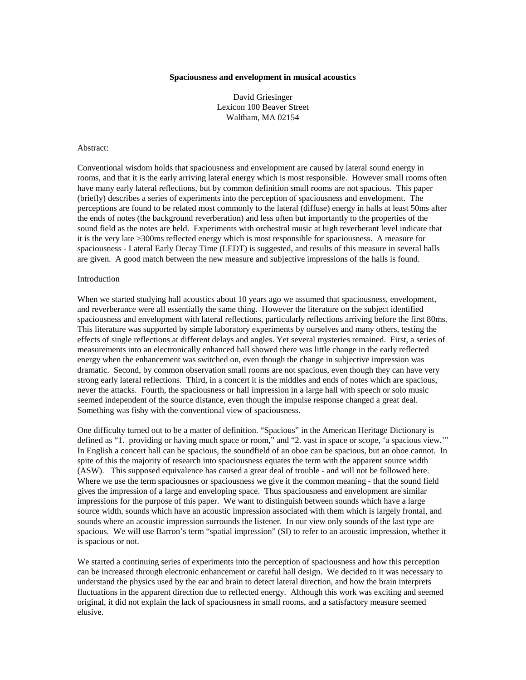### **Spaciousness and envelopment in musical acoustics**

David Griesinger Lexicon 100 Beaver Street Waltham, MA 02154

### Abstract:

Conventional wisdom holds that spaciousness and envelopment are caused by lateral sound energy in rooms, and that it is the early arriving lateral energy which is most responsible. However small rooms often have many early lateral reflections, but by common definition small rooms are not spacious. This paper (briefly) describes a series of experiments into the perception of spaciousness and envelopment. The perceptions are found to be related most commonly to the lateral (diffuse) energy in halls at least 50ms after the ends of notes (the background reverberation) and less often but importantly to the properties of the sound field as the notes are held. Experiments with orchestral music at high reverberant level indicate that it is the very late >300ms reflected energy which is most responsible for spaciousness. A measure for spaciousness - Lateral Early Decay Time (LEDT) is suggested, and results of this measure in several halls are given. A good match between the new measure and subjective impressions of the halls is found.

# Introduction

When we started studying hall acoustics about 10 years ago we assumed that spaciousness, envelopment, and reverberance were all essentially the same thing. However the literature on the subject identified spaciousness and envelopment with lateral reflections, particularly reflections arriving before the first 80ms. This literature was supported by simple laboratory experiments by ourselves and many others, testing the effects of single reflections at different delays and angles. Yet several mysteries remained. First, a series of measurements into an electronically enhanced hall showed there was little change in the early reflected energy when the enhancement was switched on, even though the change in subjective impression was dramatic. Second, by common observation small rooms are not spacious, even though they can have very strong early lateral reflections. Third, in a concert it is the middles and ends of notes which are spacious, never the attacks. Fourth, the spaciousness or hall impression in a large hall with speech or solo music seemed independent of the source distance, even though the impulse response changed a great deal. Something was fishy with the conventional view of spaciousness.

One difficulty turned out to be a matter of definition. "Spacious" in the American Heritage Dictionary is defined as "1. providing or having much space or room," and "2. vast in space or scope, 'a spacious view.'" In English a concert hall can be spacious, the soundfield of an oboe can be spacious, but an oboe cannot. In spite of this the majority of research into spaciousness equates the term with the apparent source width (ASW). This supposed equivalence has caused a great deal of trouble - and will not be followed here. Where we use the term spaciousnes or spaciousness we give it the common meaning - that the sound field gives the impression of a large and enveloping space. Thus spaciousness and envelopment are similar impressions for the purpose of this paper. We want to distinguish between sounds which have a large source width, sounds which have an acoustic impression associated with them which is largely frontal, and sounds where an acoustic impression surrounds the listener. In our view only sounds of the last type are spacious. We will use Barron's term "spatial impression" (SI) to refer to an acoustic impression, whether it is spacious or not.

We started a continuing series of experiments into the perception of spaciousness and how this perception can be increased through electronic enhancement or careful hall design. We decided to it was necessary to understand the physics used by the ear and brain to detect lateral direction, and how the brain interprets fluctuations in the apparent direction due to reflected energy. Although this work was exciting and seemed original, it did not explain the lack of spaciousness in small rooms, and a satisfactory measure seemed elusive.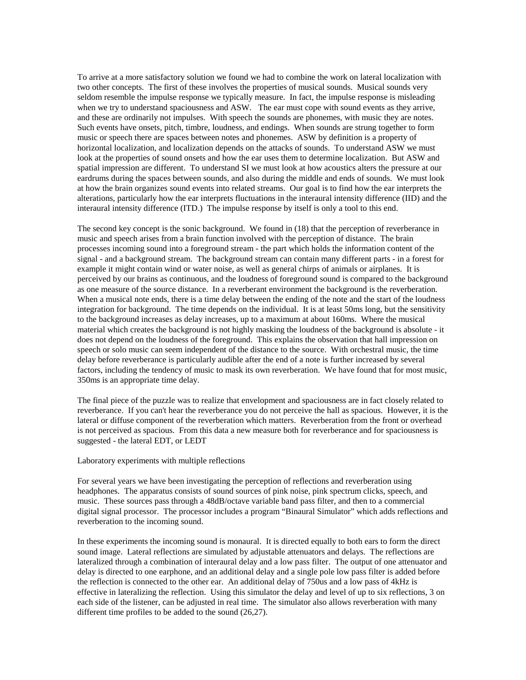To arrive at a more satisfactory solution we found we had to combine the work on lateral localization with two other concepts. The first of these involves the properties of musical sounds. Musical sounds very seldom resemble the impulse response we typically measure. In fact, the impulse response is misleading when we try to understand spaciousness and ASW. The ear must cope with sound events as they arrive, and these are ordinarily not impulses. With speech the sounds are phonemes, with music they are notes. Such events have onsets, pitch, timbre, loudness, and endings. When sounds are strung together to form music or speech there are spaces between notes and phonemes. ASW by definition is a property of horizontal localization, and localization depends on the attacks of sounds. To understand ASW we must look at the properties of sound onsets and how the ear uses them to determine localization. But ASW and spatial impression are different. To understand SI we must look at how acoustics alters the pressure at our eardrums during the spaces between sounds, and also during the middle and ends of sounds. We must look at how the brain organizes sound events into related streams. Our goal is to find how the ear interprets the alterations, particularly how the ear interprets fluctuations in the interaural intensity difference (IID) and the interaural intensity difference (ITD.) The impulse response by itself is only a tool to this end.

The second key concept is the sonic background. We found in (18) that the perception of reverberance in music and speech arises from a brain function involved with the perception of distance. The brain processes incoming sound into a foreground stream - the part which holds the information content of the signal - and a background stream. The background stream can contain many different parts - in a forest for example it might contain wind or water noise, as well as general chirps of animals or airplanes. It is perceived by our brains as continuous, and the loudness of foreground sound is compared to the background as one measure of the source distance. In a reverberant environment the background is the reverberation. When a musical note ends, there is a time delay between the ending of the note and the start of the loudness integration for background. The time depends on the individual. It is at least 50ms long, but the sensitivity to the background increases as delay increases, up to a maximum at about 160ms. Where the musical material which creates the background is not highly masking the loudness of the background is absolute - it does not depend on the loudness of the foreground. This explains the observation that hall impression on speech or solo music can seem independent of the distance to the source. With orchestral music, the time delay before reverberance is particularly audible after the end of a note is further increased by several factors, including the tendency of music to mask its own reverberation. We have found that for most music, 350ms is an appropriate time delay.

The final piece of the puzzle was to realize that envelopment and spaciousness are in fact closely related to reverberance. If you can't hear the reverberance you do not perceive the hall as spacious. However, it is the lateral or diffuse component of the reverberation which matters. Reverberation from the front or overhead is not perceived as spacious. From this data a new measure both for reverberance and for spaciousness is suggested - the lateral EDT, or LEDT

### Laboratory experiments with multiple reflections

For several years we have been investigating the perception of reflections and reverberation using headphones. The apparatus consists of sound sources of pink noise, pink spectrum clicks, speech, and music. These sources pass through a 48dB/octave variable band pass filter, and then to a commercial digital signal processor. The processor includes a program "Binaural Simulator" which adds reflections and reverberation to the incoming sound.

In these experiments the incoming sound is monaural. It is directed equally to both ears to form the direct sound image. Lateral reflections are simulated by adjustable attenuators and delays. The reflections are lateralized through a combination of interaural delay and a low pass filter. The output of one attenuator and delay is directed to one earphone, and an additional delay and a single pole low pass filter is added before the reflection is connected to the other ear. An additional delay of 750us and a low pass of 4kHz is effective in lateralizing the reflection. Using this simulator the delay and level of up to six reflections, 3 on each side of the listener, can be adjusted in real time. The simulator also allows reverberation with many different time profiles to be added to the sound (26,27).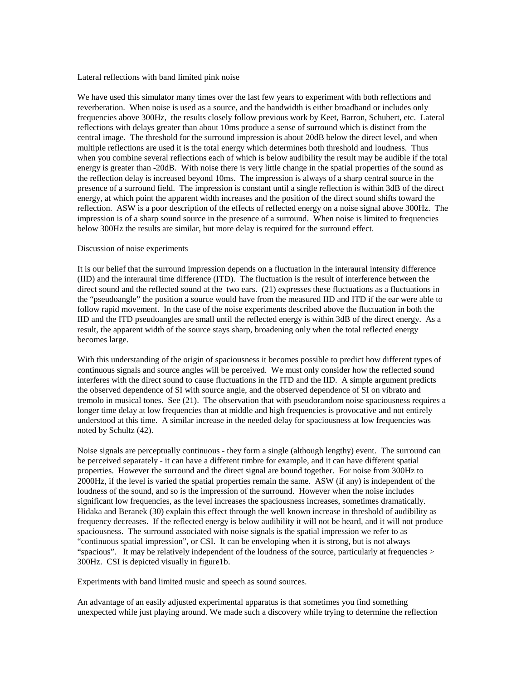Lateral reflections with band limited pink noise

We have used this simulator many times over the last few years to experiment with both reflections and reverberation. When noise is used as a source, and the bandwidth is either broadband or includes only frequencies above 300Hz, the results closely follow previous work by Keet, Barron, Schubert, etc. Lateral reflections with delays greater than about 10ms produce a sense of surround which is distinct from the central image. The threshold for the surround impression is about 20dB below the direct level, and when multiple reflections are used it is the total energy which determines both threshold and loudness. Thus when you combine several reflections each of which is below audibility the result may be audible if the total energy is greater than -20dB. With noise there is very little change in the spatial properties of the sound as the reflection delay is increased beyond 10ms. The impression is always of a sharp central source in the presence of a surround field. The impression is constant until a single reflection is within 3dB of the direct energy, at which point the apparent width increases and the position of the direct sound shifts toward the reflection. ASW is a poor description of the effects of reflected energy on a noise signal above 300Hz. The impression is of a sharp sound source in the presence of a surround. When noise is limited to frequencies below 300Hz the results are similar, but more delay is required for the surround effect.

### Discussion of noise experiments

It is our belief that the surround impression depends on a fluctuation in the interaural intensity difference (IID) and the interaural time difference (ITD). The fluctuation is the result of interference between the direct sound and the reflected sound at the two ears. (21) expresses these fluctuations as a fluctuations in the "pseudoangle" the position a source would have from the measured IID and ITD if the ear were able to follow rapid movement. In the case of the noise experiments described above the fluctuation in both the IID and the ITD pseudoangles are small until the reflected energy is within 3dB of the direct energy. As a result, the apparent width of the source stays sharp, broadening only when the total reflected energy becomes large.

With this understanding of the origin of spaciousness it becomes possible to predict how different types of continuous signals and source angles will be perceived. We must only consider how the reflected sound interferes with the direct sound to cause fluctuations in the ITD and the IID. A simple argument predicts the observed dependence of SI with source angle, and the observed dependence of SI on vibrato and tremolo in musical tones. See (21). The observation that with pseudorandom noise spaciousness requires a longer time delay at low frequencies than at middle and high frequencies is provocative and not entirely understood at this time. A similar increase in the needed delay for spaciousness at low frequencies was noted by Schultz (42).

Noise signals are perceptually continuous - they form a single (although lengthy) event. The surround can be perceived separately - it can have a different timbre for example, and it can have different spatial properties. However the surround and the direct signal are bound together. For noise from 300Hz to 2000Hz, if the level is varied the spatial properties remain the same. ASW (if any) is independent of the loudness of the sound, and so is the impression of the surround. However when the noise includes significant low frequencies, as the level increases the spaciousness increases, sometimes dramatically. Hidaka and Beranek (30) explain this effect through the well known increase in threshold of audibility as frequency decreases. If the reflected energy is below audibility it will not be heard, and it will not produce spaciousness. The surround associated with noise signals is the spatial impression we refer to as "continuous spatial impression", or CSI. It can be enveloping when it is strong, but is not always "spacious". It may be relatively independent of the loudness of the source, particularly at frequencies > 300Hz. CSI is depicted visually in figure1b.

Experiments with band limited music and speech as sound sources.

An advantage of an easily adjusted experimental apparatus is that sometimes you find something unexpected while just playing around. We made such a discovery while trying to determine the reflection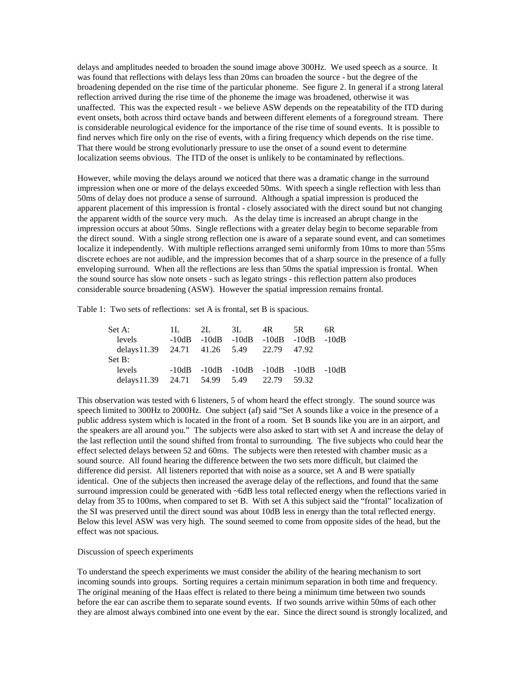delays and amplitudes needed to broaden the sound image above 300Hz. We used speech as a source. It was found that reflections with delays less than 20ms can broaden the source - but the degree of the broadening depended on the rise time of the particular phoneme. See figure 2. In general if a strong lateral reflection arrived during the rise time of the phoneme the image was broadened, otherwise it was unaffected. This was the expected result - we believe ASW depends on the repeatability of the ITD during event onsets, both across third octave bands and between different elements of a foreground stream. There is considerable neurological evidence for the importance of the rise time of sound events. It is possible to find nerves which fire only on the rise of events, with a firing frequency which depends on the rise time. That there would be strong evolutionarly pressure to use the onset of a sound event to determine localization seems obvious. The ITD of the onset is unlikely to be contaminated by reflections.

However, while moving the delays around we noticed that there was a dramatic change in the surround impression when one or more of the delays exceeded 50ms. With speech a single reflection with less than 50ms of delay does not produce a sense of surround. Although a spatial impression is produced the apparent placement of this impression is frontal - closely associated with the direct sound but not changing the apparent width of the source very much. As the delay time is increased an abrupt change in the impression occurs at about 50ms. Single reflections with a greater delay begin to become separable from the direct sound. With a single strong reflection one is aware of a separate sound event, and can sometimes localize it independently. With multiple reflections arranged semi uniformly from 10ms to more than 55ms discrete echoes are not audible, and the impression becomes that of a sharp source in the presence of a fully enveloping surround. When all the reflections are less than 50ms the spatial impression is frontal. When the sound source has slow note onsets - such as legato strings - this reflection pattern also produces considerable source broadening (ASW). However the spatial impression remains frontal.

Table 1: Two sets of reflections: set A is frontal, set B is spacious.

| Set A:                                    | $\mathbf{H}$ . | 2L 3L 4R 5R                                |  | 6R. |
|-------------------------------------------|----------------|--------------------------------------------|--|-----|
| levels                                    |                | $-10dB - 10dB - 10dB - 10dB - 10dB - 10dB$ |  |     |
| delays 11.39 24.71 41.26 5.49 22.79 47.92 |                |                                            |  |     |
| Set B:                                    |                |                                            |  |     |
| levels                                    |                | $-10dB - 10dB - 10dB - 10dB - 10dB - 10dB$ |  |     |
| delays 11.39 24.71 54.99 5.49 22.79 59.32 |                |                                            |  |     |

This observation was tested with 6 listeners, 5 of whom heard the effect strongly. The sound source was speech limited to 300Hz to 2000Hz. One subject (af) said "Set A sounds like a voice in the presence of a public address system which is located in the front of a room. Set B sounds like you are in an airport, and the speakers are all around you." The subjects were also asked to start with set A and increase the delay of the last reflection until the sound shifted from frontal to surrounding. The five subjects who could hear the effect selected delays between 52 and 60ms. The subjects were then retested with chamber music as a sound source. All found hearing the difference between the two sets more difficult, but claimed the difference did persist. All listeners reported that with noise as a source, set A and B were spatially identical. One of the subjects then increased the average delay of the reflections, and found that the same surround impression could be generated with ~6dB less total reflected energy when the reflections varied in delay from 35 to 100ms, when compared to set B. With set A this subject said the "frontal" localization of the SI was preserved until the direct sound was about 10dB less in energy than the total reflected energy. Below this level ASW was very high. The sound seemed to come from opposite sides of the head, but the effect was not spacious.

## Discussion of speech experiments

To understand the speech experiments we must consider the ability of the hearing mechanism to sort incoming sounds into groups. Sorting requires a certain minimum separation in both time and frequency. The original meaning of the Haas effect is related to there being a minimum time between two sounds before the ear can ascribe them to separate sound events. If two sounds arrive within 50ms of each other they are almost always combined into one event by the ear. Since the direct sound is strongly localized, and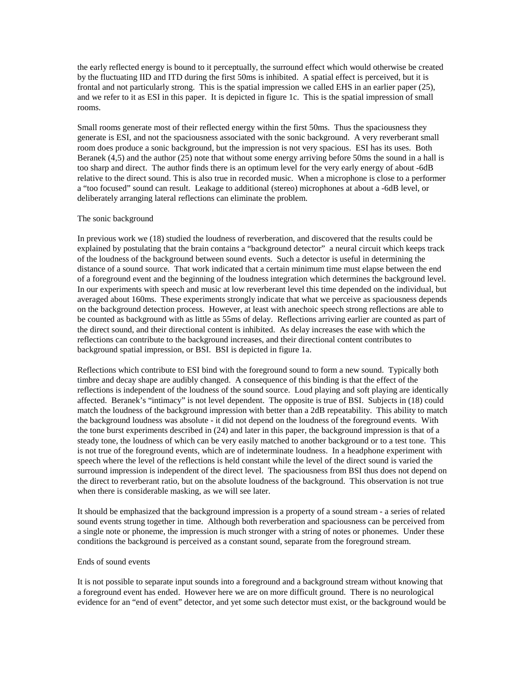the early reflected energy is bound to it perceptually, the surround effect which would otherwise be created by the fluctuating IID and ITD during the first 50ms is inhibited. A spatial effect is perceived, but it is frontal and not particularly strong. This is the spatial impression we called EHS in an earlier paper (25), and we refer to it as ESI in this paper. It is depicted in figure 1c. This is the spatial impression of small rooms.

Small rooms generate most of their reflected energy within the first 50ms. Thus the spaciousness they generate is ESI, and not the spaciousness associated with the sonic background. A very reverberant small room does produce a sonic background, but the impression is not very spacious. ESI has its uses. Both Beranek (4,5) and the author (25) note that without some energy arriving before 50ms the sound in a hall is too sharp and direct. The author finds there is an optimum level for the very early energy of about -6dB relative to the direct sound. This is also true in recorded music. When a microphone is close to a performer a "too focused" sound can result. Leakage to additional (stereo) microphones at about a -6dB level, or deliberately arranging lateral reflections can eliminate the problem.

### The sonic background

In previous work we (18) studied the loudness of reverberation, and discovered that the results could be explained by postulating that the brain contains a "background detector" a neural circuit which keeps track of the loudness of the background between sound events. Such a detector is useful in determining the distance of a sound source. That work indicated that a certain minimum time must elapse between the end of a foreground event and the beginning of the loudness integration which determines the background level. In our experiments with speech and music at low reverberant level this time depended on the individual, but averaged about 160ms. These experiments strongly indicate that what we perceive as spaciousness depends on the background detection process. However, at least with anechoic speech strong reflections are able to be counted as background with as little as 55ms of delay. Reflections arriving earlier are counted as part of the direct sound, and their directional content is inhibited. As delay increases the ease with which the reflections can contribute to the background increases, and their directional content contributes to background spatial impression, or BSI. BSI is depicted in figure 1a.

Reflections which contribute to ESI bind with the foreground sound to form a new sound. Typically both timbre and decay shape are audibly changed. A consequence of this binding is that the effect of the reflections is independent of the loudness of the sound source. Loud playing and soft playing are identically affected. Beranek's "intimacy" is not level dependent. The opposite is true of BSI. Subjects in (18) could match the loudness of the background impression with better than a 2dB repeatability. This ability to match the background loudness was absolute - it did not depend on the loudness of the foreground events. With the tone burst experiments described in (24) and later in this paper, the background impression is that of a steady tone, the loudness of which can be very easily matched to another background or to a test tone. This is not true of the foreground events, which are of indeterminate loudness. In a headphone experiment with speech where the level of the reflections is held constant while the level of the direct sound is varied the surround impression is independent of the direct level. The spaciousness from BSI thus does not depend on the direct to reverberant ratio, but on the absolute loudness of the background. This observation is not true when there is considerable masking, as we will see later.

It should be emphasized that the background impression is a property of a sound stream - a series of related sound events strung together in time. Although both reverberation and spaciousness can be perceived from a single note or phoneme, the impression is much stronger with a string of notes or phonemes. Under these conditions the background is perceived as a constant sound, separate from the foreground stream.

## Ends of sound events

It is not possible to separate input sounds into a foreground and a background stream without knowing that a foreground event has ended. However here we are on more difficult ground. There is no neurological evidence for an "end of event" detector, and yet some such detector must exist, or the background would be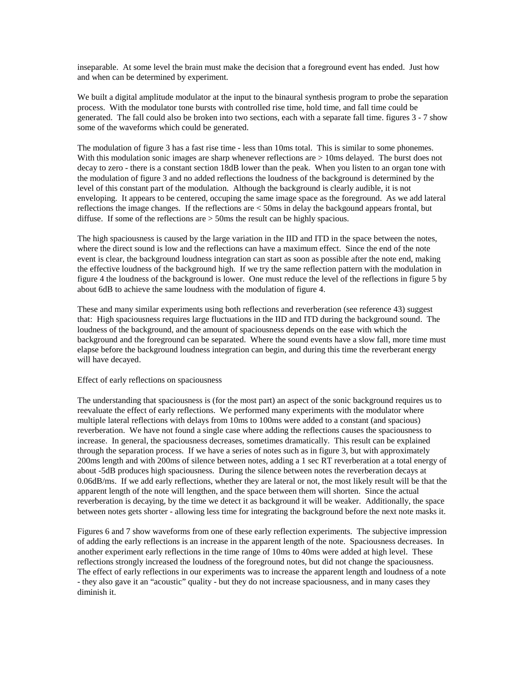inseparable. At some level the brain must make the decision that a foreground event has ended. Just how and when can be determined by experiment.

We built a digital amplitude modulator at the input to the binaural synthesis program to probe the separation process. With the modulator tone bursts with controlled rise time, hold time, and fall time could be generated. The fall could also be broken into two sections, each with a separate fall time. figures 3 - 7 show some of the waveforms which could be generated.

The modulation of figure 3 has a fast rise time - less than 10ms total. This is similar to some phonemes. With this modulation sonic images are sharp whenever reflections are > 10ms delayed. The burst does not decay to zero - there is a constant section 18dB lower than the peak. When you listen to an organ tone with the modulation of figure 3 and no added reflections the loudness of the background is determined by the level of this constant part of the modulation. Although the background is clearly audible, it is not enveloping. It appears to be centered, occuping the same image space as the foreground. As we add lateral reflections the image changes. If the reflections are < 50ms in delay the backgound appears frontal, but diffuse. If some of the reflections are > 50ms the result can be highly spacious.

The high spaciousness is caused by the large variation in the IID and ITD in the space between the notes, where the direct sound is low and the reflections can have a maximum effect. Since the end of the note event is clear, the background loudness integration can start as soon as possible after the note end, making the effective loudness of the background high. If we try the same reflection pattern with the modulation in figure 4 the loudness of the background is lower. One must reduce the level of the reflections in figure 5 by about 6dB to achieve the same loudness with the modulation of figure 4.

These and many similar experiments using both reflections and reverberation (see reference 43) suggest that: High spaciousness requires large fluctuations in the IID and ITD during the background sound. The loudness of the background, and the amount of spaciousness depends on the ease with which the background and the foreground can be separated. Where the sound events have a slow fall, more time must elapse before the background loudness integration can begin, and during this time the reverberant energy will have decayed.

# Effect of early reflections on spaciousness

The understanding that spaciousness is (for the most part) an aspect of the sonic background requires us to reevaluate the effect of early reflections. We performed many experiments with the modulator where multiple lateral reflections with delays from 10ms to 100ms were added to a constant (and spacious) reverberation. We have not found a single case where adding the reflections causes the spaciousness to increase. In general, the spaciousness decreases, sometimes dramatically. This result can be explained through the separation process. If we have a series of notes such as in figure 3, but with approximately 200ms length and with 200ms of silence between notes, adding a 1 sec RT reverberation at a total energy of about -5dB produces high spaciousness. During the silence between notes the reverberation decays at 0.06dB/ms. If we add early reflections, whether they are lateral or not, the most likely result will be that the apparent length of the note will lengthen, and the space between them will shorten. Since the actual reverberation is decaying, by the time we detect it as background it will be weaker. Additionally, the space between notes gets shorter - allowing less time for integrating the background before the next note masks it.

Figures 6 and 7 show waveforms from one of these early reflection experiments. The subjective impression of adding the early reflections is an increase in the apparent length of the note. Spaciousness decreases. In another experiment early reflections in the time range of 10ms to 40ms were added at high level. These reflections strongly increased the loudness of the foreground notes, but did not change the spaciousness. The effect of early reflections in our experiments was to increase the apparent length and loudness of a note - they also gave it an "acoustic" quality - but they do not increase spaciousness, and in many cases they diminish it.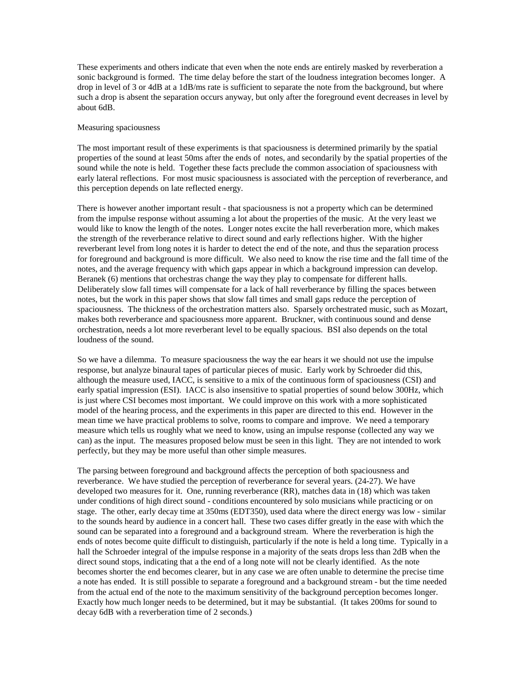These experiments and others indicate that even when the note ends are entirely masked by reverberation a sonic background is formed. The time delay before the start of the loudness integration becomes longer. A drop in level of 3 or 4dB at a 1dB/ms rate is sufficient to separate the note from the background, but where such a drop is absent the separation occurs anyway, but only after the foreground event decreases in level by about 6dB.

## Measuring spaciousness

The most important result of these experiments is that spaciousness is determined primarily by the spatial properties of the sound at least 50ms after the ends of notes, and secondarily by the spatial properties of the sound while the note is held. Together these facts preclude the common association of spaciousness with early lateral reflections. For most music spaciousness is associated with the perception of reverberance, and this perception depends on late reflected energy.

There is however another important result - that spaciousness is not a property which can be determined from the impulse response without assuming a lot about the properties of the music. At the very least we would like to know the length of the notes. Longer notes excite the hall reverberation more, which makes the strength of the reverberance relative to direct sound and early reflections higher. With the higher reverberant level from long notes it is harder to detect the end of the note, and thus the separation process for foreground and background is more difficult. We also need to know the rise time and the fall time of the notes, and the average frequency with which gaps appear in which a background impression can develop. Beranek (6) mentions that orchestras change the way they play to compensate for different halls. Deliberately slow fall times will compensate for a lack of hall reverberance by filling the spaces between notes, but the work in this paper shows that slow fall times and small gaps reduce the perception of spaciousness. The thickness of the orchestration matters also. Sparsely orchestrated music, such as Mozart, makes both reverberance and spaciousness more apparent. Bruckner, with continuous sound and dense orchestration, needs a lot more reverberant level to be equally spacious. BSI also depends on the total loudness of the sound.

So we have a dilemma. To measure spaciousness the way the ear hears it we should not use the impulse response, but analyze binaural tapes of particular pieces of music. Early work by Schroeder did this, although the measure used, IACC, is sensitive to a mix of the continuous form of spaciousness (CSI) and early spatial impression (ESI). IACC is also insensitive to spatial properties of sound below 300Hz, which is just where CSI becomes most important. We could improve on this work with a more sophisticated model of the hearing process, and the experiments in this paper are directed to this end. However in the mean time we have practical problems to solve, rooms to compare and improve. We need a temporary measure which tells us roughly what we need to know, using an impulse response (collected any way we can) as the input. The measures proposed below must be seen in this light. They are not intended to work perfectly, but they may be more useful than other simple measures.

The parsing between foreground and background affects the perception of both spaciousness and reverberance. We have studied the perception of reverberance for several years. (24-27). We have developed two measures for it. One, running reverberance (RR), matches data in (18) which was taken under conditions of high direct sound - conditions encountered by solo musicians while practicing or on stage. The other, early decay time at 350ms (EDT350), used data where the direct energy was low - similar to the sounds heard by audience in a concert hall. These two cases differ greatly in the ease with which the sound can be separated into a foreground and a background stream. Where the reverberation is high the ends of notes become quite difficult to distinguish, particularly if the note is held a long time. Typically in a hall the Schroeder integral of the impulse response in a majority of the seats drops less than 2dB when the direct sound stops, indicating that a the end of a long note will not be clearly identified. As the note becomes shorter the end becomes clearer, but in any case we are often unable to determine the precise time a note has ended. It is still possible to separate a foreground and a background stream - but the time needed from the actual end of the note to the maximum sensitivity of the background perception becomes longer. Exactly how much longer needs to be determined, but it may be substantial. (It takes 200ms for sound to decay 6dB with a reverberation time of 2 seconds.)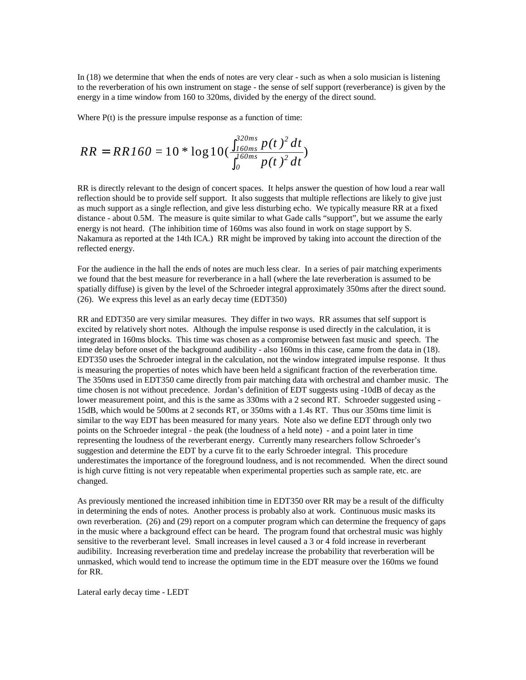In (18) we determine that when the ends of notes are very clear - such as when a solo musician is listening to the reverberation of his own instrument on stage - the sense of self support (reverberance) is given by the energy in a time window from 160 to 320ms, divided by the energy of the direct sound.

Where  $P(t)$  is the pressure impulse response as a function of time:

$$
RR = RR160 = 10 * \log 10 \left( \frac{\int_{160ms}^{320ms} p(t)^2 dt}{\int_{0}^{160ms} p(t)^2 dt} \right)
$$

RR is directly relevant to the design of concert spaces. It helps answer the question of how loud a rear wall reflection should be to provide self support. It also suggests that multiple reflections are likely to give just as much support as a single reflection, and give less disturbing echo. We typically measure RR at a fixed distance - about 0.5M. The measure is quite similar to what Gade calls "support", but we assume the early energy is not heard. (The inhibition time of 160ms was also found in work on stage support by S. Nakamura as reported at the 14th ICA.) RR might be improved by taking into account the direction of the reflected energy.

For the audience in the hall the ends of notes are much less clear. In a series of pair matching experiments we found that the best measure for reverberance in a hall (where the late reverberation is assumed to be spatially diffuse) is given by the level of the Schroeder integral approximately 350ms after the direct sound. (26). We express this level as an early decay time (EDT350)

RR and EDT350 are very similar measures. They differ in two ways. RR assumes that self support is excited by relatively short notes. Although the impulse response is used directly in the calculation, it is integrated in 160ms blocks. This time was chosen as a compromise between fast music and speech. The time delay before onset of the background audibility - also 160ms in this case, came from the data in (18). EDT350 uses the Schroeder integral in the calculation, not the window integrated impulse response. It thus is measuring the properties of notes which have been held a significant fraction of the reverberation time. The 350ms used in EDT350 came directly from pair matching data with orchestral and chamber music. The time chosen is not without precedence. Jordan's definition of EDT suggests using -10dB of decay as the lower measurement point, and this is the same as 330ms with a 2 second RT. Schroeder suggested using -15dB, which would be 500ms at 2 seconds RT, or 350ms with a 1.4s RT. Thus our 350ms time limit is similar to the way EDT has been measured for many years. Note also we define EDT through only two points on the Schroeder integral - the peak (the loudness of a held note) - and a point later in time representing the loudness of the reverberant energy. Currently many researchers follow Schroeder's suggestion and determine the EDT by a curve fit to the early Schroeder integral. This procedure underestimates the importance of the foreground loudness, and is not recommended. When the direct sound is high curve fitting is not very repeatable when experimental properties such as sample rate, etc. are changed.

As previously mentioned the increased inhibition time in EDT350 over RR may be a result of the difficulty in determining the ends of notes. Another process is probably also at work. Continuous music masks its own reverberation. (26) and (29) report on a computer program which can determine the frequency of gaps in the music where a background effect can be heard. The program found that orchestral music was highly sensitive to the reverberant level. Small increases in level caused a 3 or 4 fold increase in reverberant audibility. Increasing reverberation time and predelay increase the probability that reverberation will be unmasked, which would tend to increase the optimum time in the EDT measure over the 160ms we found for RR.

Lateral early decay time - LEDT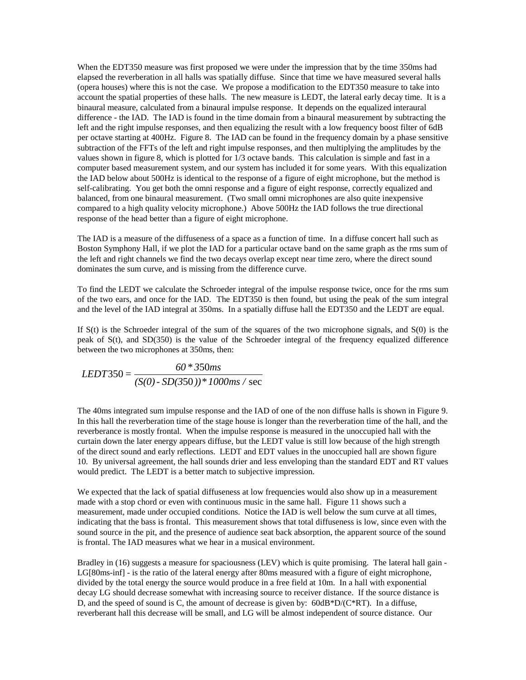When the EDT350 measure was first proposed we were under the impression that by the time 350ms had elapsed the reverberation in all halls was spatially diffuse. Since that time we have measured several halls (opera houses) where this is not the case. We propose a modification to the EDT350 measure to take into account the spatial properties of these halls. The new measure is LEDT, the lateral early decay time. It is a binaural measure, calculated from a binaural impulse response. It depends on the equalized interaural difference - the IAD. The IAD is found in the time domain from a binaural measurement by subtracting the left and the right impulse responses, and then equalizing the result with a low frequency boost filter of 6dB per octave starting at 400Hz. Figure 8. The IAD can be found in the frequency domain by a phase sensitive subtraction of the FFTs of the left and right impulse responses, and then multiplying the amplitudes by the values shown in figure 8, which is plotted for 1/3 octave bands. This calculation is simple and fast in a computer based measurement system, and our system has included it for some years. With this equalization the IAD below about 500Hz is identical to the response of a figure of eight microphone, but the method is self-calibrating. You get both the omni response and a figure of eight response, correctly equalized and balanced, from one binaural measurement. (Two small omni microphones are also quite inexpensive compared to a high quality velocity microphone.) Above 500Hz the IAD follows the true directional response of the head better than a figure of eight microphone.

The IAD is a measure of the diffuseness of a space as a function of time. In a diffuse concert hall such as Boston Symphony Hall, if we plot the IAD for a particular octave band on the same graph as the rms sum of the left and right channels we find the two decays overlap except near time zero, where the direct sound dominates the sum curve, and is missing from the difference curve.

To find the LEDT we calculate the Schroeder integral of the impulse response twice, once for the rms sum of the two ears, and once for the IAD. The EDT350 is then found, but using the peak of the sum integral and the level of the IAD integral at 350ms. In a spatially diffuse hall the EDT350 and the LEDT are equal.

If  $S(t)$  is the Schroeder integral of the sum of the squares of the two microphone signals, and  $S(0)$  is the peak of S(t), and SD(350) is the value of the Schroeder integral of the frequency equalized difference between the two microphones at 350ms, then:

$$
LEDT350 = \frac{60 * 350ms}{(S(0) - SD(350)) * 1000ms / sec}
$$

The 40ms integrated sum impulse response and the IAD of one of the non diffuse halls is shown in Figure 9. In this hall the reverberation time of the stage house is longer than the reverberation time of the hall, and the reverberance is mostly frontal. When the impulse response is measured in the unoccupied hall with the curtain down the later energy appears diffuse, but the LEDT value is still low because of the high strength of the direct sound and early reflections. LEDT and EDT values in the unoccupied hall are shown figure 10. By universal agreement, the hall sounds drier and less enveloping than the standard EDT and RT values would predict. The LEDT is a better match to subjective impression.

We expected that the lack of spatial diffuseness at low frequencies would also show up in a measurement made with a stop chord or even with continuous music in the same hall. Figure 11 shows such a measurement, made under occupied conditions. Notice the IAD is well below the sum curve at all times, indicating that the bass is frontal. This measurement shows that total diffuseness is low, since even with the sound source in the pit, and the presence of audience seat back absorption, the apparent source of the sound is frontal. The IAD measures what we hear in a musical environment.

Bradley in (16) suggests a measure for spaciousness (LEV) which is quite promising. The lateral hall gain -LG[80ms-inf] - is the ratio of the lateral energy after 80ms measured with a figure of eight microphone, divided by the total energy the source would produce in a free field at 10m. In a hall with exponential decay LG should decrease somewhat with increasing source to receiver distance. If the source distance is D, and the speed of sound is C, the amount of decrease is given by: 60dB\*D/(C\*RT). In a diffuse, reverberant hall this decrease will be small, and LG will be almost independent of source distance. Our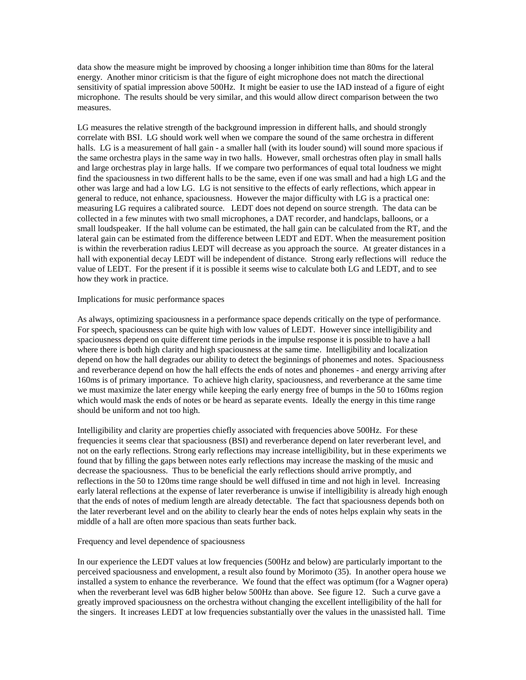data show the measure might be improved by choosing a longer inhibition time than 80ms for the lateral energy. Another minor criticism is that the figure of eight microphone does not match the directional sensitivity of spatial impression above 500Hz. It might be easier to use the IAD instead of a figure of eight microphone. The results should be very similar, and this would allow direct comparison between the two measures.

LG measures the relative strength of the background impression in different halls, and should strongly correlate with BSI. LG should work well when we compare the sound of the same orchestra in different halls. LG is a measurement of hall gain - a smaller hall (with its louder sound) will sound more spacious if the same orchestra plays in the same way in two halls. However, small orchestras often play in small halls and large orchestras play in large halls. If we compare two performances of equal total loudness we might find the spaciousness in two different halls to be the same, even if one was small and had a high LG and the other was large and had a low LG. LG is not sensitive to the effects of early reflections, which appear in general to reduce, not enhance, spaciousness. However the major difficulty with LG is a practical one: measuring LG requires a calibrated source. LEDT does not depend on source strength. The data can be collected in a few minutes with two small microphones, a DAT recorder, and handclaps, balloons, or a small loudspeaker. If the hall volume can be estimated, the hall gain can be calculated from the RT, and the lateral gain can be estimated from the difference between LEDT and EDT. When the measurement position is within the reverberation radius LEDT will decrease as you approach the source. At greater distances in a hall with exponential decay LEDT will be independent of distance. Strong early reflections will reduce the value of LEDT. For the present if it is possible it seems wise to calculate both LG and LEDT, and to see how they work in practice.

## Implications for music performance spaces

As always, optimizing spaciousness in a performance space depends critically on the type of performance. For speech, spaciousness can be quite high with low values of LEDT. However since intelligibility and spaciousness depend on quite different time periods in the impulse response it is possible to have a hall where there is both high clarity and high spaciousness at the same time. Intelligibility and localization depend on how the hall degrades our ability to detect the beginnings of phonemes and notes. Spaciousness and reverberance depend on how the hall effects the ends of notes and phonemes - and energy arriving after 160ms is of primary importance. To achieve high clarity, spaciousness, and reverberance at the same time we must maximize the later energy while keeping the early energy free of bumps in the 50 to 160ms region which would mask the ends of notes or be heard as separate events. Ideally the energy in this time range should be uniform and not too high.

Intelligibility and clarity are properties chiefly associated with frequencies above 500Hz. For these frequencies it seems clear that spaciousness (BSI) and reverberance depend on later reverberant level, and not on the early reflections. Strong early reflections may increase intelligibility, but in these experiments we found that by filling the gaps between notes early reflections may increase the masking of the music and decrease the spaciousness. Thus to be beneficial the early reflections should arrive promptly, and reflections in the 50 to 120ms time range should be well diffused in time and not high in level. Increasing early lateral reflections at the expense of later reverberance is unwise if intelligibility is already high enough that the ends of notes of medium length are already detectable. The fact that spaciousness depends both on the later reverberant level and on the ability to clearly hear the ends of notes helps explain why seats in the middle of a hall are often more spacious than seats further back.

# Frequency and level dependence of spaciousness

In our experience the LEDT values at low frequencies (500Hz and below) are particularly important to the perceived spaciousness and envelopment, a result also found by Morimoto (35). In another opera house we installed a system to enhance the reverberance. We found that the effect was optimum (for a Wagner opera) when the reverberant level was 6dB higher below 500Hz than above. See figure 12. Such a curve gave a greatly improved spaciousness on the orchestra without changing the excellent intelligibility of the hall for the singers. It increases LEDT at low frequencies substantially over the values in the unassisted hall. Time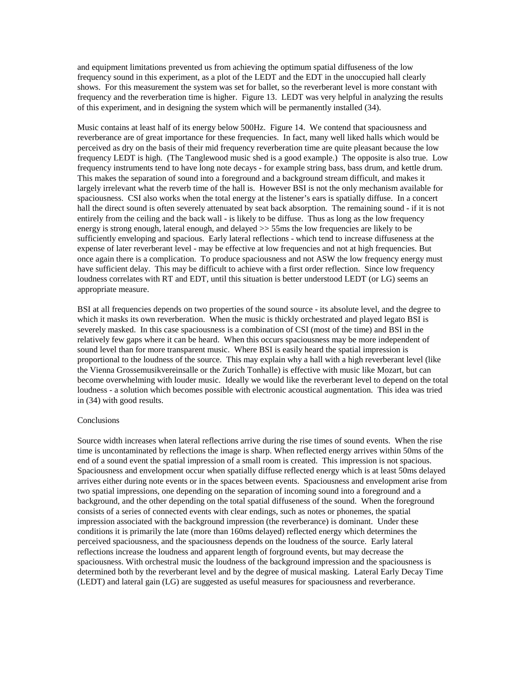and equipment limitations prevented us from achieving the optimum spatial diffuseness of the low frequency sound in this experiment, as a plot of the LEDT and the EDT in the unoccupied hall clearly shows. For this measurement the system was set for ballet, so the reverberant level is more constant with frequency and the reverberation time is higher. Figure 13. LEDT was very helpful in analyzing the results of this experiment, and in designing the system which will be permanently installed (34).

Music contains at least half of its energy below 500Hz. Figure 14. We contend that spaciousness and reverberance are of great importance for these frequencies. In fact, many well liked halls which would be perceived as dry on the basis of their mid frequency reverberation time are quite pleasant because the low frequency LEDT is high. (The Tanglewood music shed is a good example.) The opposite is also true. Low frequency instruments tend to have long note decays - for example string bass, bass drum, and kettle drum. This makes the separation of sound into a foreground and a background stream difficult, and makes it largely irrelevant what the reverb time of the hall is. However BSI is not the only mechanism available for spaciousness. CSI also works when the total energy at the listener's ears is spatially diffuse. In a concert hall the direct sound is often severely attenuated by seat back absorption. The remaining sound - if it is not entirely from the ceiling and the back wall - is likely to be diffuse. Thus as long as the low frequency energy is strong enough, lateral enough, and delayed >> 55ms the low frequencies are likely to be sufficiently enveloping and spacious. Early lateral reflections - which tend to increase diffuseness at the expense of later reverberant level - may be effective at low frequencies and not at high frequencies. But once again there is a complication. To produce spaciousness and not ASW the low frequency energy must have sufficient delay. This may be difficult to achieve with a first order reflection. Since low frequency loudness correlates with RT and EDT, until this situation is better understood LEDT (or LG) seems an appropriate measure.

BSI at all frequencies depends on two properties of the sound source - its absolute level, and the degree to which it masks its own reverberation. When the music is thickly orchestrated and played legato BSI is severely masked. In this case spaciousness is a combination of CSI (most of the time) and BSI in the relatively few gaps where it can be heard. When this occurs spaciousness may be more independent of sound level than for more transparent music. Where BSI is easily heard the spatial impression is proportional to the loudness of the source. This may explain why a hall with a high reverberant level (like the Vienna Grossemusikvereinsalle or the Zurich Tonhalle) is effective with music like Mozart, but can become overwhelming with louder music. Ideally we would like the reverberant level to depend on the total loudness - a solution which becomes possible with electronic acoustical augmentation. This idea was tried in (34) with good results.

# Conclusions

Source width increases when lateral reflections arrive during the rise times of sound events. When the rise time is uncontaminated by reflections the image is sharp. When reflected energy arrives within 50ms of the end of a sound event the spatial impression of a small room is created. This impression is not spacious. Spaciousness and envelopment occur when spatially diffuse reflected energy which is at least 50ms delayed arrives either during note events or in the spaces between events. Spaciousness and envelopment arise from two spatial impressions, one depending on the separation of incoming sound into a foreground and a background, and the other depending on the total spatial diffuseness of the sound. When the foreground consists of a series of connected events with clear endings, such as notes or phonemes, the spatial impression associated with the background impression (the reverberance) is dominant. Under these conditions it is primarily the late (more than 160ms delayed) reflected energy which determines the perceived spaciousness, and the spaciousness depends on the loudness of the source. Early lateral reflections increase the loudness and apparent length of forground events, but may decrease the spaciousness. With orchestral music the loudness of the background impression and the spaciousness is determined both by the reverberant level and by the degree of musical masking. Lateral Early Decay Time (LEDT) and lateral gain (LG) are suggested as useful measures for spaciousness and reverberance.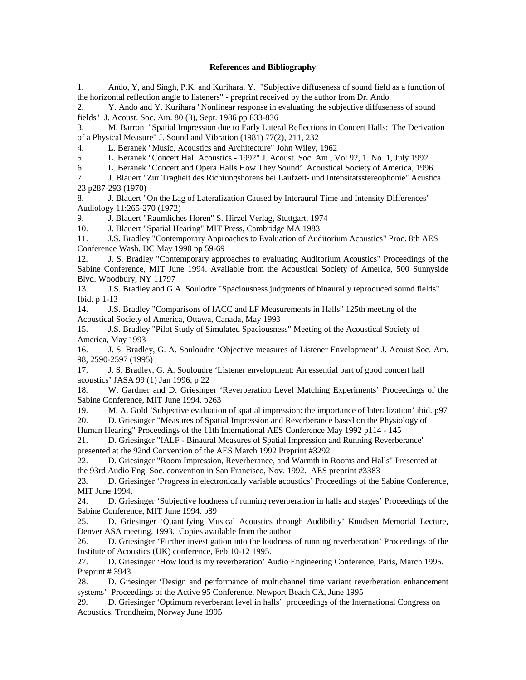## **References and Bibliography**

1. Ando, Y, and Singh, P.K. and Kurihara, Y. "Subjective diffuseness of sound field as a function of the horizontal reflection angle to listeners" - preprint received by the author from Dr. Ando

2. Y. Ando and Y. Kurihara "Nonlinear response in evaluating the subjective diffuseness of sound fields" J. Acoust. Soc. Am. 80 (3), Sept. 1986 pp 833-836

3. M. Barron "Spatial Impression due to Early Lateral Reflections in Concert Halls: The Derivation of a Physical Measure" J. Sound and Vibration (1981) 77(2), 211, 232

4. L. Beranek "Music, Acoustics and Architecture" John Wiley, 1962

5. L. Beranek "Concert Hall Acoustics - 1992" J. Acoust. Soc. Am., Vol 92, 1. No. 1, July 1992

6. L. Beranek "Concert and Opera Halls How They Sound' Acoustical Society of America, 1996

7. J. Blauert "Zur Tragheit des Richtungshorens bei Laufzeit- und Intensitatsstereophonie" Acustica 23 p287-293 (1970)

8. J. Blauert "On the Lag of Lateralization Caused by Interaural Time and Intensity Differences" Audiology 11:265-270 (1972)

9. J. Blauert "Raumliches Horen" S. Hirzel Verlag, Stuttgart, 1974

10. J. Blauert "Spatial Hearing" MIT Press, Cambridge MA 1983

11. J.S. Bradley "Contemporary Approaches to Evaluation of Auditorium Acoustics" Proc. 8th AES Conference Wash. DC May 1990 pp 59-69

12. J. S. Bradley "Contemporary approaches to evaluating Auditorium Acoustics" Proceedings of the Sabine Conference, MIT June 1994. Available from the Acoustical Society of America, 500 Sunnyside Blvd. Woodbury, NY 11797

13. J.S. Bradley and G.A. Soulodre "Spaciousness judgments of binaurally reproduced sound fields" Ibid. p 1-13

14. J.S. Bradley "Comparisons of IACC and LF Measurements in Halls" 125th meeting of the Acoustical Society of America, Ottawa, Canada, May 1993

15. J.S. Bradley "Pilot Study of Simulated Spaciousness" Meeting of the Acoustical Society of America, May 1993

16. J. S. Bradley, G. A. Souloudre 'Objective measures of Listener Envelopment' J. Acoust Soc. Am. 98, 2590-2597 (1995)

17. J. S. Bradley, G. A. Souloudre 'Listener envelopment: An essential part of good concert hall acoustics' JASA 99 (1) Jan 1996, p 22

18. W. Gardner and D. Griesinger 'Reverberation Level Matching Experiments' Proceedings of the Sabine Conference, MIT June 1994. p263

19. M. A. Gold 'Subjective evaluation of spatial impression: the importance of lateralization' ibid. p97

20. D. Griesinger "Measures of Spatial Impression and Reverberance based on the Physiology of

Human Hearing" Proceedings of the 11th International AES Conference May 1992 p114 - 145

21. D. Griesinger "IALF - Binaural Measures of Spatial Impression and Running Reverberance" presented at the 92nd Convention of the AES March 1992 Preprint #3292

22. D. Griesinger "Room Impression, Reverberance, and Warmth in Rooms and Halls" Presented at the 93rd Audio Eng. Soc. convention in San Francisco, Nov. 1992. AES preprint #3383

23. D. Griesinger 'Progress in electronically variable acoustics' Proceedings of the Sabine Conference, MIT June 1994.

24. D. Griesinger 'Subjective loudness of running reverberation in halls and stages' Proceedings of the Sabine Conference, MIT June 1994. p89

25. D. Griesinger 'Quantifying Musical Acoustics through Audibility' Knudsen Memorial Lecture, Denver ASA meeting, 1993. Copies available from the author

26. D. Griesinger 'Further investigation into the loudness of running reverberation' Proceedings of the Institute of Acoustics (UK) conference, Feb 10-12 1995.

27. D. Griesinger 'How loud is my reverberation' Audio Engineering Conference, Paris, March 1995. Preprint # 3943

28. D. Griesinger 'Design and performance of multichannel time variant reverberation enhancement systems' Proceedings of the Active 95 Conference, Newport Beach CA, June 1995

29. D. Griesinger 'Optimum reverberant level in halls' proceedings of the International Congress on Acoustics, Trondheim, Norway June 1995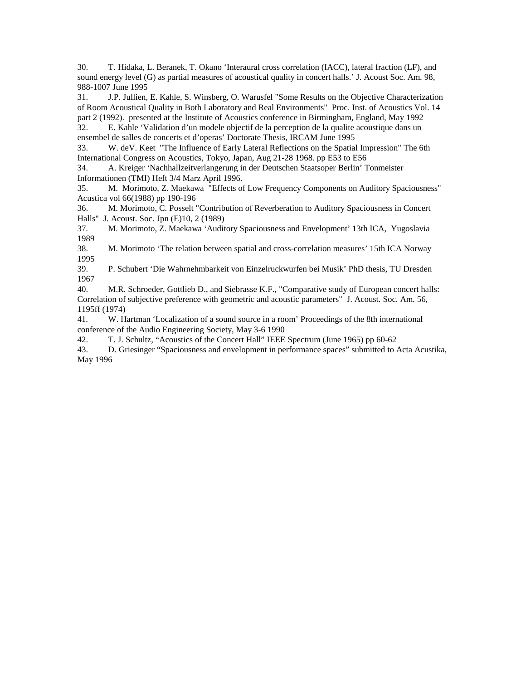30. T. Hidaka, L. Beranek, T. Okano 'Interaural cross correlation (IACC), lateral fraction (LF), and sound energy level (G) as partial measures of acoustical quality in concert halls.' J. Acoust Soc. Am. 98, 988-1007 June 1995

31. J.P. Jullien, E. Kahle, S. Winsberg, O. Warusfel "Some Results on the Objective Characterization of Room Acoustical Quality in Both Laboratory and Real Environments" Proc. Inst. of Acoustics Vol. 14 part 2 (1992). presented at the Institute of Acoustics conference in Birmingham, England, May 1992

32. E. Kahle 'Validation d'un modele objectif de la perception de la qualite acoustique dans un ensembel de salles de concerts et d'operas' Doctorate Thesis, IRCAM June 1995

33. W. deV. Keet "The Influence of Early Lateral Reflections on the Spatial Impression" The 6th International Congress on Acoustics, Tokyo, Japan, Aug 21-28 1968. pp E53 to E56

34. A. Kreiger 'Nachhallzeitverlangerung in der Deutschen Staatsoper Berlin' Tonmeister Informationen (TMI) Heft 3/4 Marz April 1996.

35. M. Morimoto, Z. Maekawa "Effects of Low Frequency Components on Auditory Spaciousness" Acustica vol 66(1988) pp 190-196

36. M. Morimoto, C. Posselt "Contribution of Reverberation to Auditory Spaciousness in Concert Halls" J. Acoust. Soc. Jpn (E)10, 2 (1989)

37. M. Morimoto, Z. Maekawa 'Auditory Spaciousness and Envelopment' 13th ICA, Yugoslavia 1989

38. M. Morimoto 'The relation between spatial and cross-correlation measures' 15th ICA Norway 1995

39. P. Schubert 'Die Wahrnehmbarkeit von Einzelruckwurfen bei Musik' PhD thesis, TU Dresden 1967

40. M.R. Schroeder, Gottlieb D., and Siebrasse K.F., "Comparative study of European concert halls: Correlation of subjective preference with geometric and acoustic parameters" J. Acoust. Soc. Am. 56, 1195ff (1974)

41. W. Hartman 'Localization of a sound source in a room' Proceedings of the 8th international conference of the Audio Engineering Society, May 3-6 1990

42. T. J. Schultz, "Acoustics of the Concert Hall" IEEE Spectrum (June 1965) pp 60-62

43. D. Griesinger "Spaciousness and envelopment in performance spaces" submitted to Acta Acustika, May 1996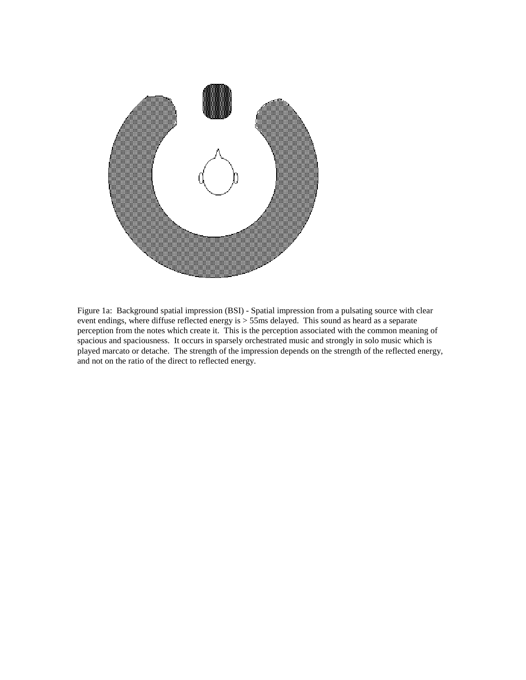

Figure 1a: Background spatial impression (BSI) - Spatial impression from a pulsating source with clear event endings, where diffuse reflected energy is > 55ms delayed. This sound as heard as a separate perception from the notes which create it. This is the perception associated with the common meaning of spacious and spaciousness. It occurs in sparsely orchestrated music and strongly in solo music which is played marcato or detache. The strength of the impression depends on the strength of the reflected energy, and not on the ratio of the direct to reflected energy.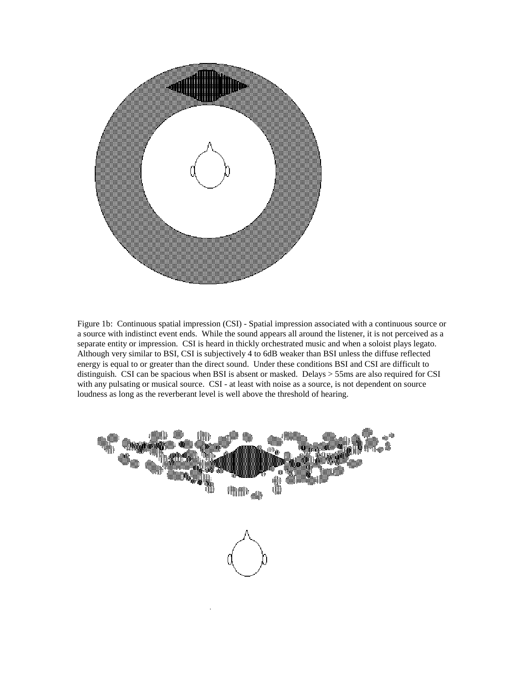

Figure 1b: Continuous spatial impression (CSI) - Spatial impression associated with a continuous source or a source with indistinct event ends. While the sound appears all around the listener, it is not perceived as a separate entity or impression. CSI is heard in thickly orchestrated music and when a soloist plays legato. Although very similar to BSI, CSI is subjectively 4 to 6dB weaker than BSI unless the diffuse reflected energy is equal to or greater than the direct sound. Under these conditions BSI and CSI are difficult to distinguish. CSI can be spacious when BSI is absent or masked. Delays > 55ms are also required for CSI with any pulsating or musical source. CSI - at least with noise as a source, is not dependent on source loudness as long as the reverberant level is well above the threshold of hearing.

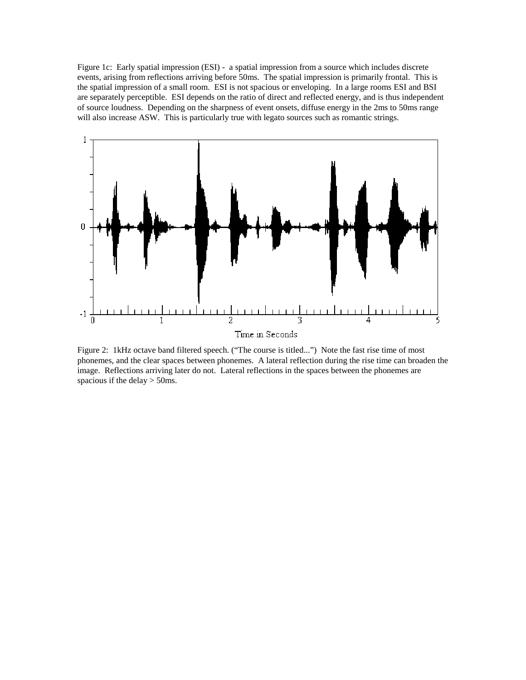Figure 1c: Early spatial impression (ESI) - a spatial impression from a source which includes discrete events, arising from reflections arriving before 50ms. The spatial impression is primarily frontal. This is the spatial impression of a small room. ESI is not spacious or enveloping. In a large rooms ESI and BSI are separately perceptible. ESI depends on the ratio of direct and reflected energy, and is thus independent of source loudness. Depending on the sharpness of event onsets, diffuse energy in the 2ms to 50ms range will also increase ASW. This is particularly true with legato sources such as romantic strings.



Figure 2: 1kHz octave band filtered speech. ("The course is titled...") Note the fast rise time of most phonemes, and the clear spaces between phonemes. A lateral reflection during the rise time can broaden the image. Reflections arriving later do not. Lateral reflections in the spaces between the phonemes are spacious if the delay > 50ms.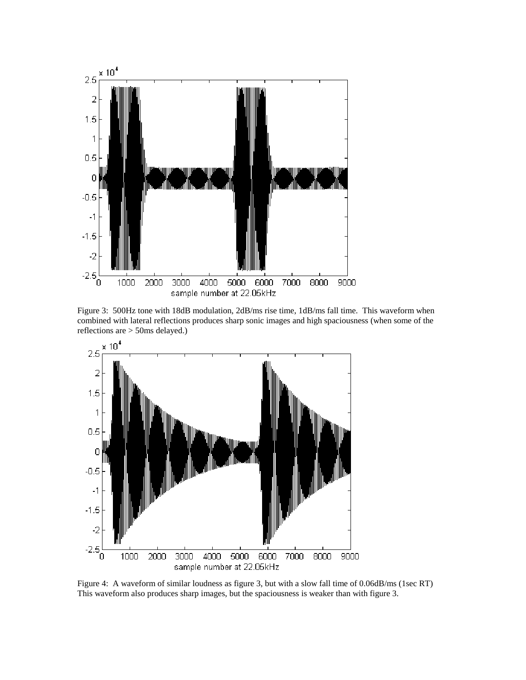

Figure 3: 500Hz tone with 18dB modulation, 2dB/ms rise time, 1dB/ms fall time. This waveform when combined with lateral reflections produces sharp sonic images and high spaciousness (when some of the reflections are > 50ms delayed.)



Figure 4: A waveform of similar loudness as figure 3, but with a slow fall time of 0.06dB/ms (1sec RT) This waveform also produces sharp images, but the spaciousness is weaker than with figure 3.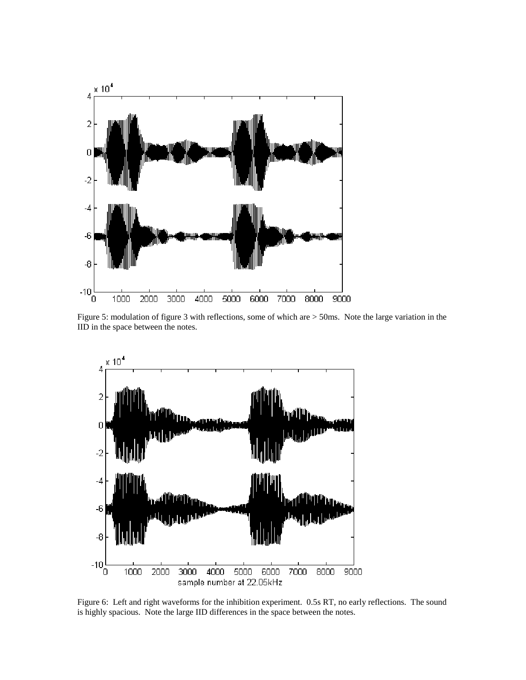

Figure 5: modulation of figure 3 with reflections, some of which are > 50ms. Note the large variation in the IID in the space between the notes.



Figure 6: Left and right waveforms for the inhibition experiment. 0.5s RT, no early reflections. The sound is highly spacious. Note the large IID differences in the space between the notes.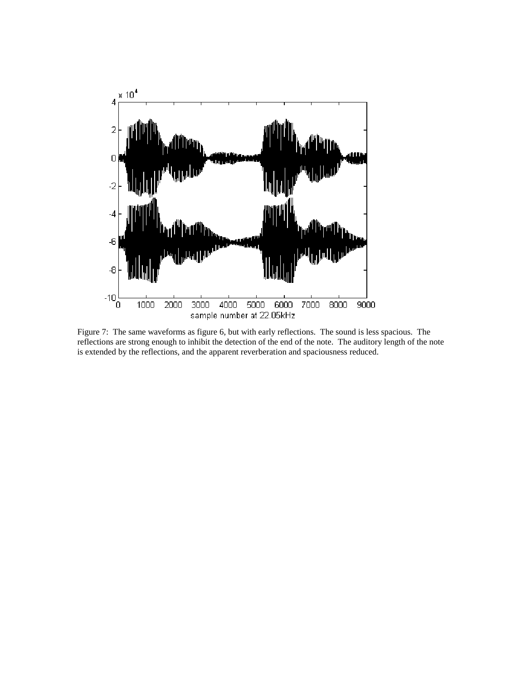

Figure 7: The same waveforms as figure 6, but with early reflections. The sound is less spacious. The reflections are strong enough to inhibit the detection of the end of the note. The auditory length of the note is extended by the reflections, and the apparent reverberation and spaciousness reduced.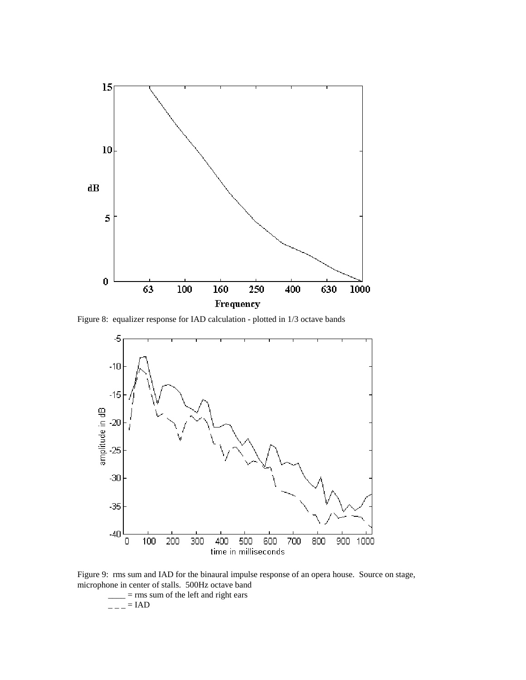

Figure 8: equalizer response for IAD calculation - plotted in 1/3 octave bands



Figure 9: rms sum and IAD for the binaural impulse response of an opera house. Source on stage, microphone in center of stalls. 500Hz octave band

 $=$  rms sum of the left and right ears  $--- = IAD$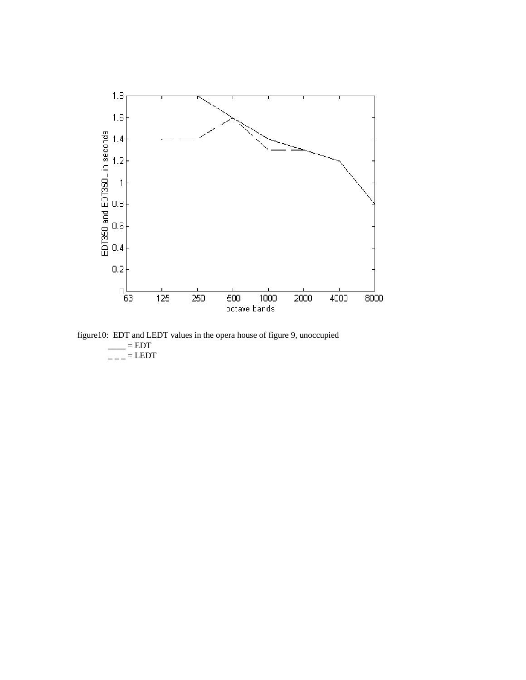

figure10: EDT and LEDT values in the opera house of figure 9, unoccupied  $\equiv$  EDT  $\overline{\phantom{a}}$  =  $\overline{\phantom{a}}$  = LEDT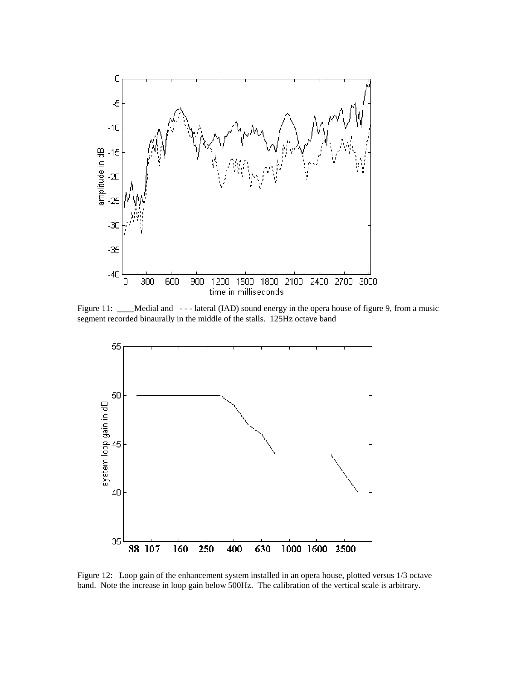

Figure 11: \_\_\_\_Medial and ---lateral (IAD) sound energy in the opera house of figure 9, from a music segment recorded binaurally in the middle of the stalls. 125Hz octave band



Figure 12: Loop gain of the enhancement system installed in an opera house, plotted versus 1/3 octave band. Note the increase in loop gain below 500Hz. The calibration of the vertical scale is arbitrary.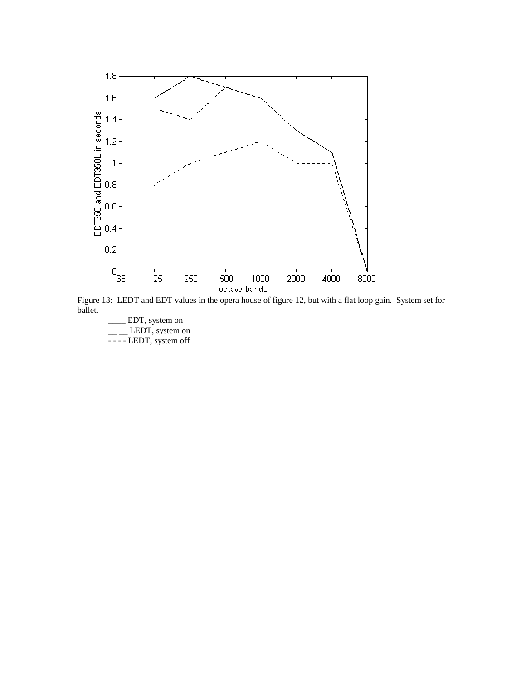

Figure 13: LEDT and EDT values in the opera house of figure 12, but with a flat loop gain. System set for ballet.

\_\_\_\_ EDT, system on  $\equiv$   $\equiv$  LEDT, system on - - - - LEDT, system off